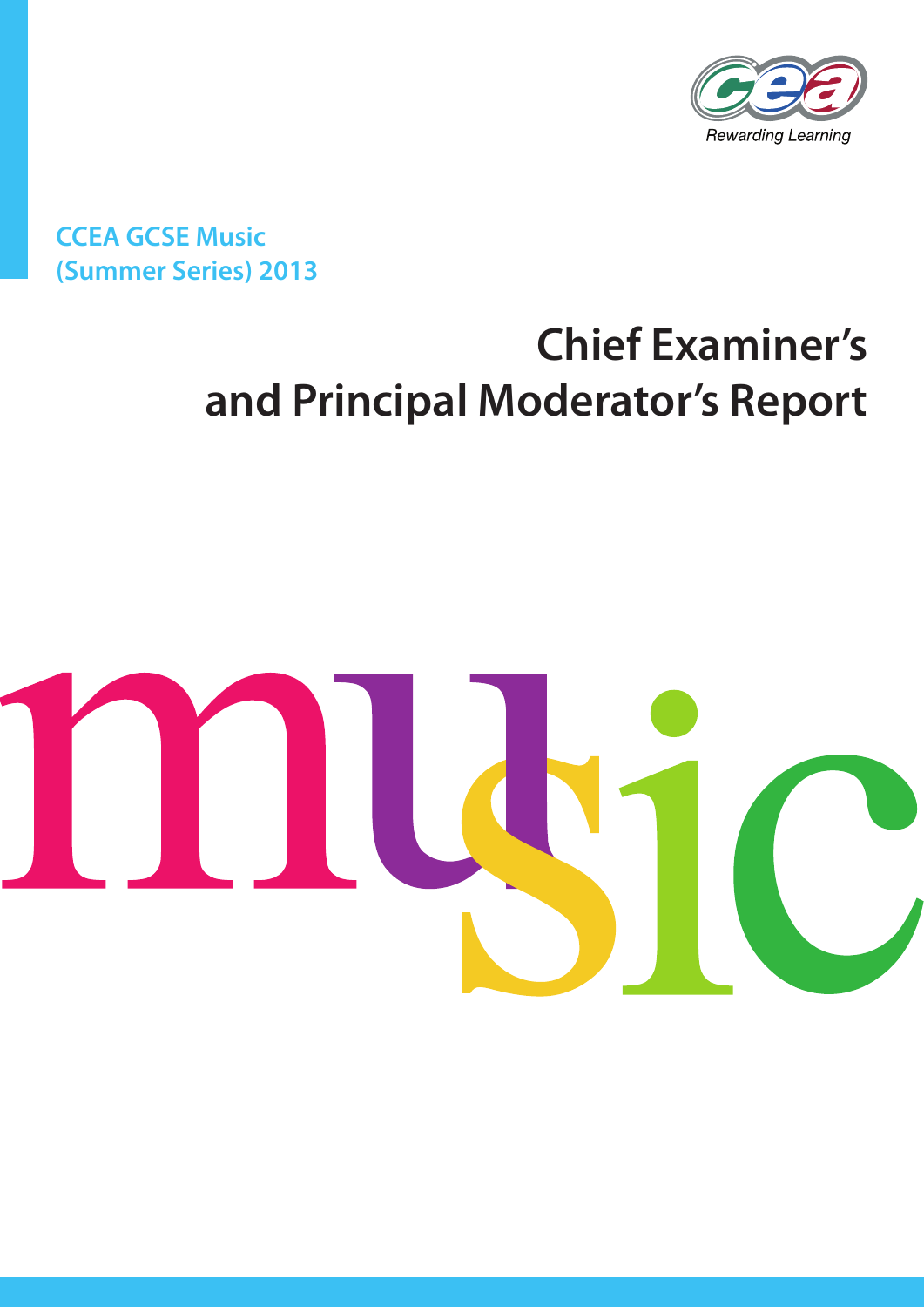

**CCEA GCSE Music (Summer Series) 2013**

# **Chief Examiner's and Principal Moderator's Report**

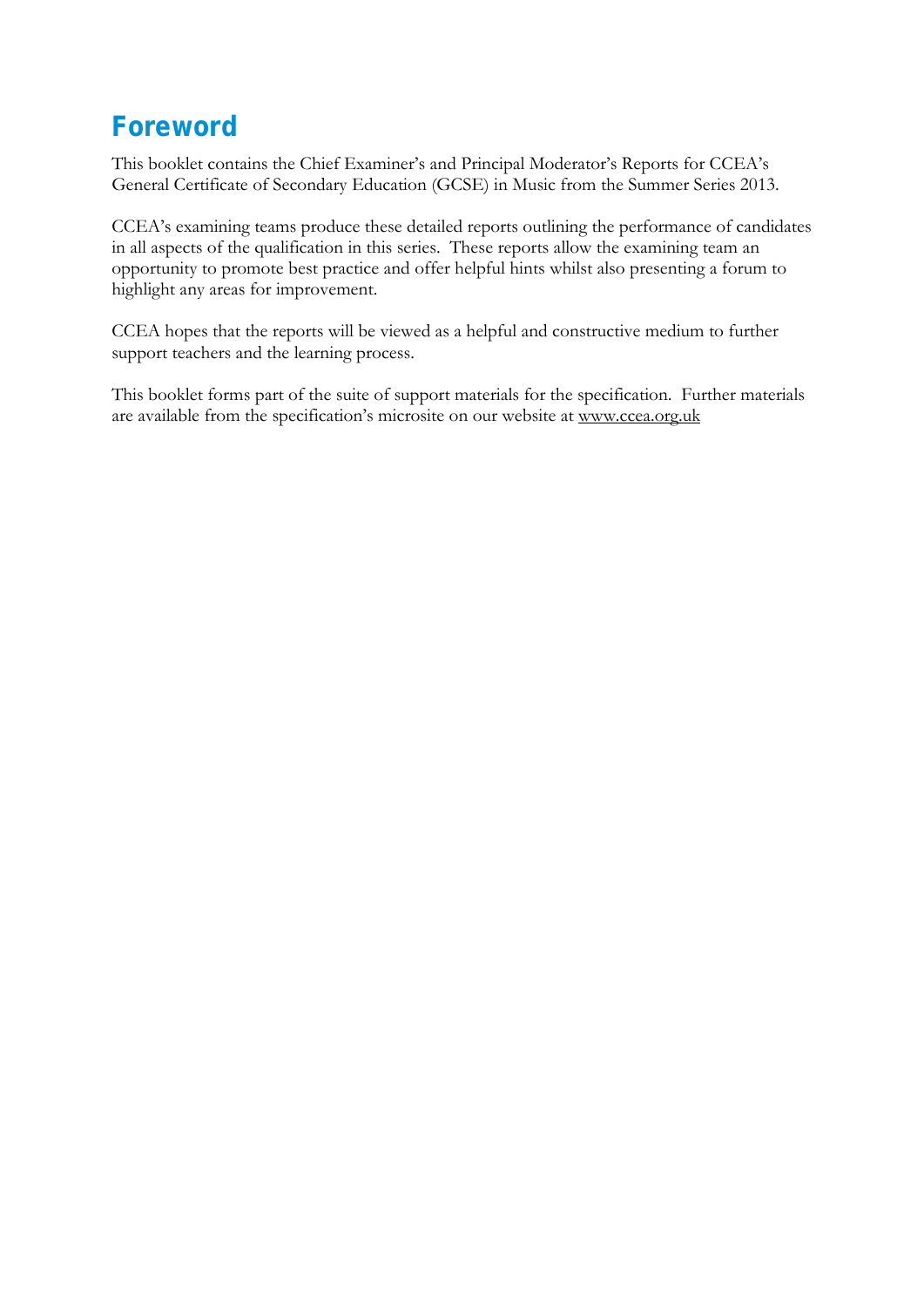# **Foreword**

This booklet contains the Chief Examiner's and Principal Moderator's Reports for CCEA's General Certificate of Secondary Education (GCSE) in Music from the Summer Series 2013.

CCEA's examining teams produce these detailed reports outlining the performance of candidates in all aspects of the qualification in this series. These reports allow the examining team an opportunity to promote best practice and offer helpful hints whilst also presenting a forum to highlight any areas for improvement.

CCEA hopes that the reports will be viewed as a helpful and constructive medium to further support teachers and the learning process.

This booklet forms part of the suite of support materials for the specification. Further materials are available from the specification's microsite on our website at [www.ccea.org.uk](http://www.ccea.org.uk/)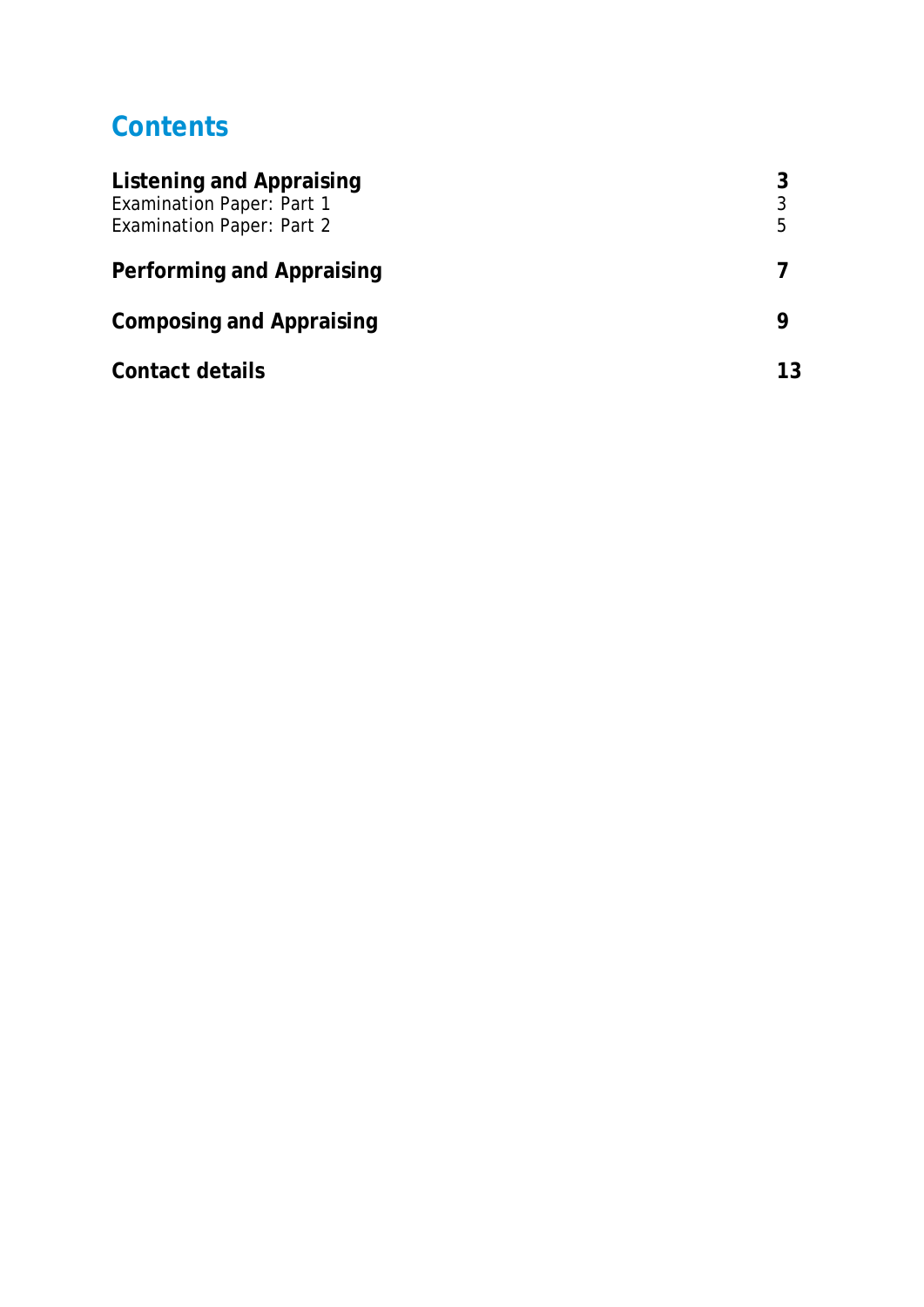# **Contents**

| Listening and Appraising<br><b>Examination Paper: Part 1</b><br><b>Examination Paper: Part 2</b> | 3<br>5 |
|--------------------------------------------------------------------------------------------------|--------|
| Performing and Appraising                                                                        |        |
| <b>Composing and Appraising</b>                                                                  |        |
| Contact details                                                                                  | 13     |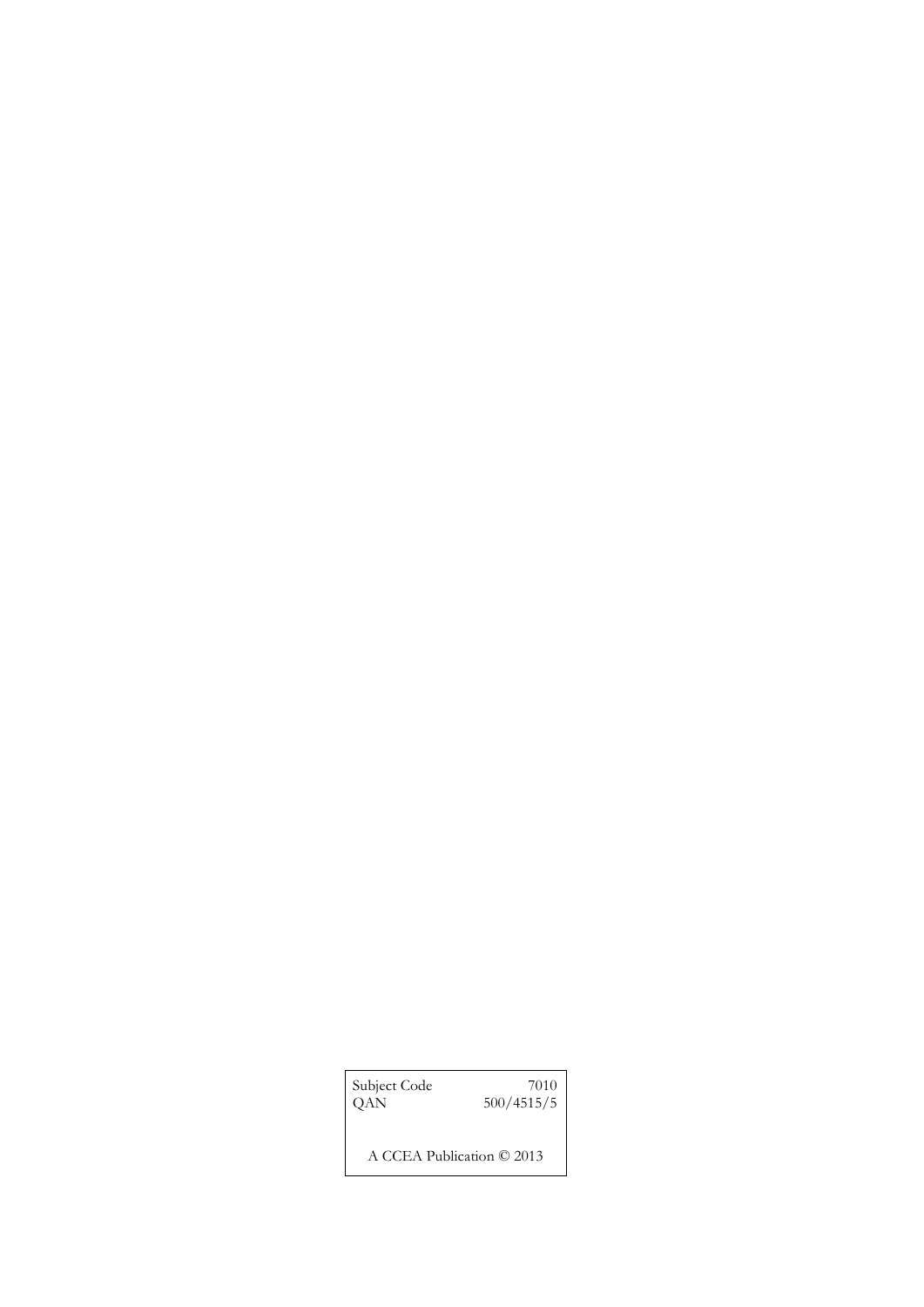| Subject Code              | 7010       |
|---------------------------|------------|
| QAN                       | 500/4515/5 |
| A CCEA Publication © 2013 |            |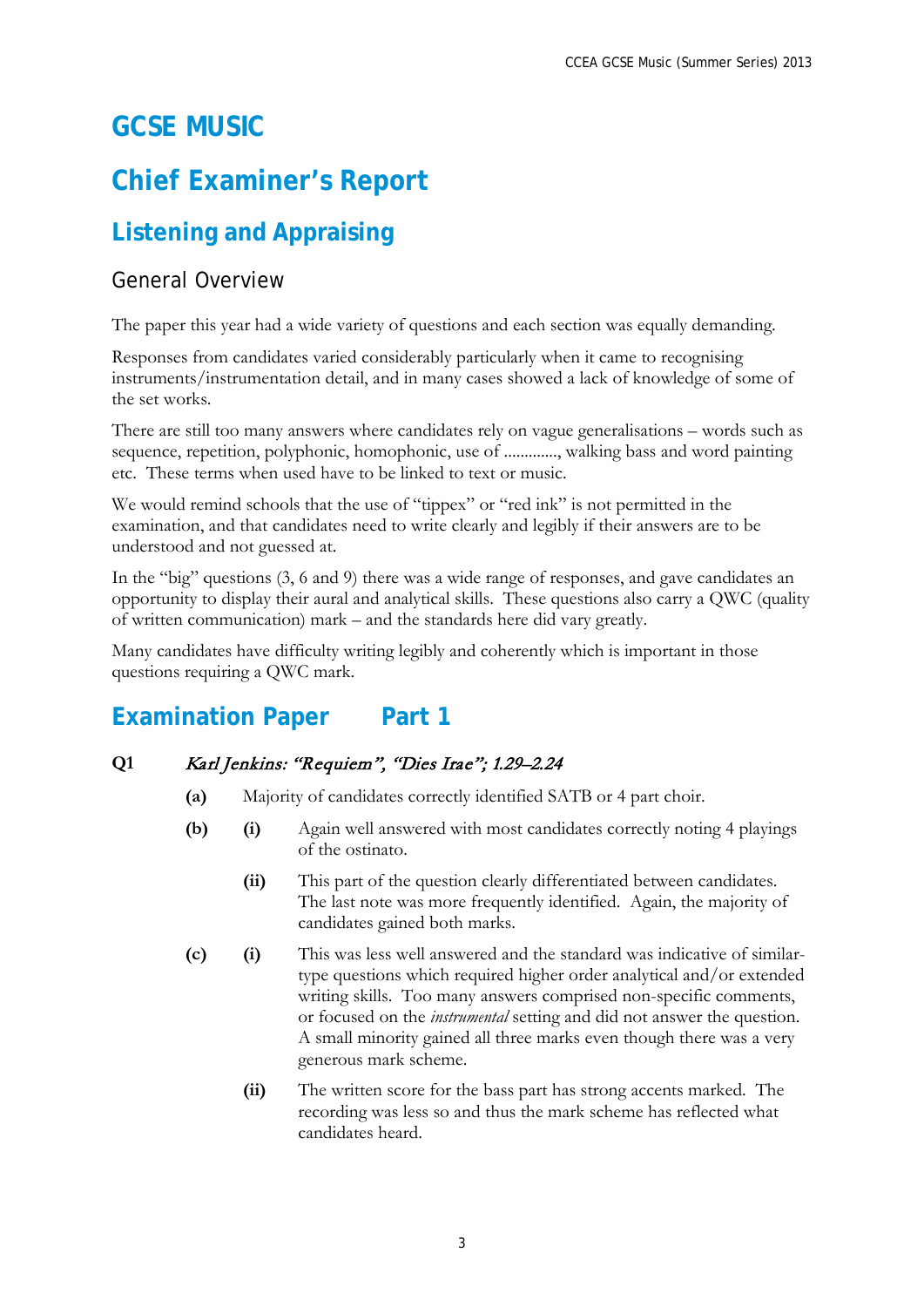# **GCSE MUSIC**

# **Chief Examiner's Report**

# **Listening and Appraising**

### General Overview

The paper this year had a wide variety of questions and each section was equally demanding.

Responses from candidates varied considerably particularly when it came to recognising instruments/instrumentation detail, and in many cases showed a lack of knowledge of some of the set works.

There are still too many answers where candidates rely on vague generalisations – words such as sequence, repetition, polyphonic, homophonic, use of ............., walking bass and word painting etc. These terms when used have to be linked to text or music.

We would remind schools that the use of "tippex" or "red ink" is not permitted in the examination, and that candidates need to write clearly and legibly if their answers are to be understood and not guessed at.

In the "big" questions (3, 6 and 9) there was a wide range of responses, and gave candidates an opportunity to display their aural and analytical skills. These questions also carry a QWC (quality of written communication) mark – and the standards here did vary greatly.

Many candidates have difficulty writing legibly and coherently which is important in those questions requiring a QWC mark.

# **Examination Paper** Part 1

#### **Q1** Karl Jenkins: "Requiem", "Dies Irae"; 1.29–2.24

- **(a)** Majority of candidates correctly identified SATB or 4 part choir.
- **(b) (i)** Again well answered with most candidates correctly noting 4 playings of the ostinato.
	- **(ii)** This part of the question clearly differentiated between candidates. The last note was more frequently identified. Again, the majority of candidates gained both marks.
- **(c) (i)** This was less well answered and the standard was indicative of similartype questions which required higher order analytical and/or extended writing skills. Too many answers comprised non-specific comments, or focused on the *instrumental* setting and did not answer the question. A small minority gained all three marks even though there was a very generous mark scheme.
	- **(ii)** The written score for the bass part has strong accents marked. The recording was less so and thus the mark scheme has reflected what candidates heard.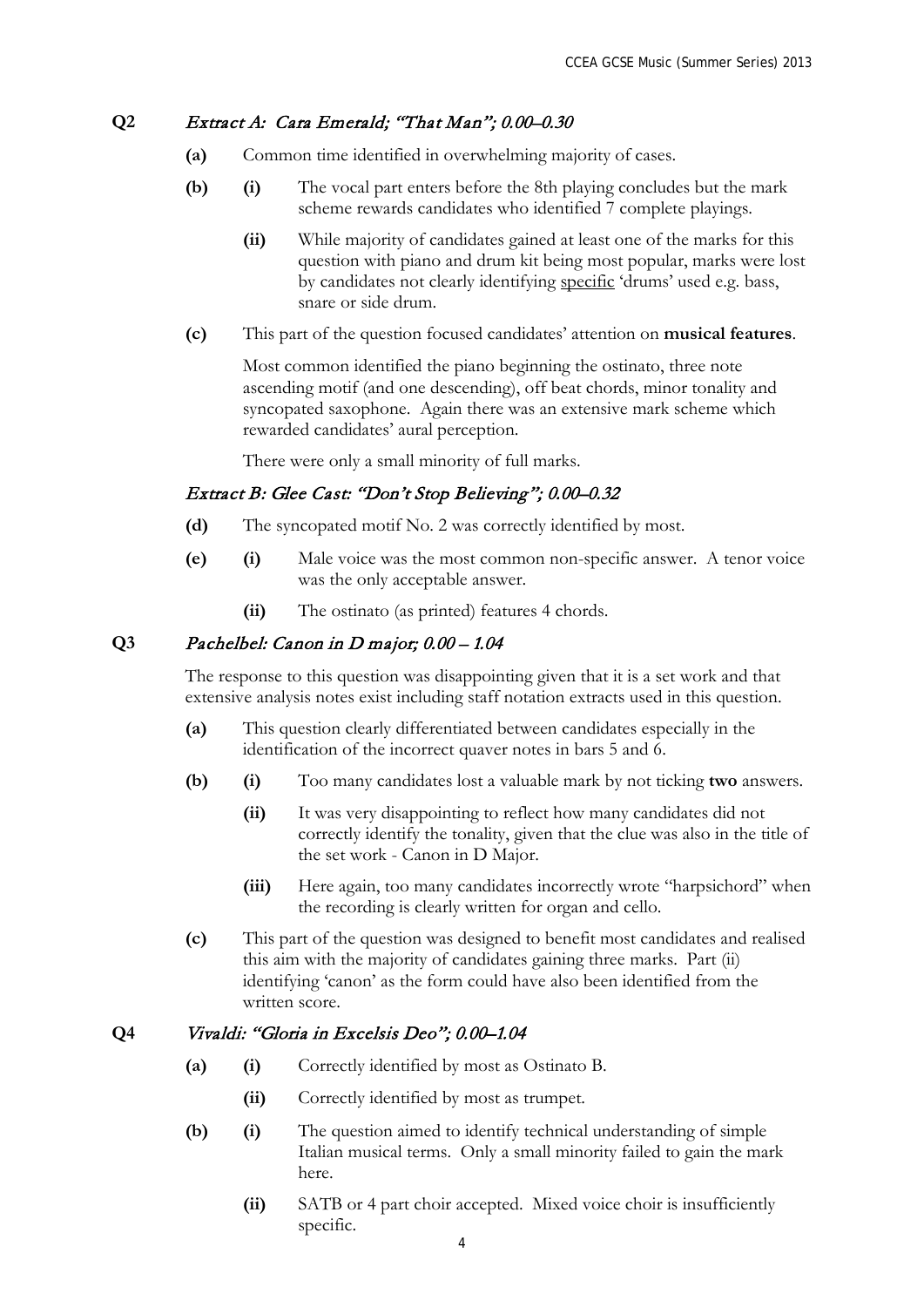#### **Q2** Extract A: Cara Emerald; "That Man"; 0.00–0.30

- **(a)** Common time identified in overwhelming majority of cases.
- **(b) (i)** The vocal part enters before the 8th playing concludes but the mark scheme rewards candidates who identified 7 complete playings.
	- **(ii)** While majority of candidates gained at least one of the marks for this question with piano and drum kit being most popular, marks were lost by candidates not clearly identifying specific 'drums' used e.g. bass, snare or side drum.
- **(c)** This part of the question focused candidates' attention on **musical features**.

Most common identified the piano beginning the ostinato, three note ascending motif (and one descending), off beat chords, minor tonality and syncopated saxophone. Again there was an extensive mark scheme which rewarded candidates' aural perception.

There were only a small minority of full marks.

#### Extract B: Glee Cast: "Don't Stop Believing"; 0.00–0.32

- **(d)** The syncopated motif No. 2 was correctly identified by most.
- **(e) (i)** Male voice was the most common non-specific answer. A tenor voice was the only acceptable answer.
	- **(ii)** The ostinato (as printed) features 4 chords.

#### **Q3** Pachelbel: Canon in D major; 0.00 – 1.04

The response to this question was disappointing given that it is a set work and that extensive analysis notes exist including staff notation extracts used in this question.

- **(a)** This question clearly differentiated between candidates especially in the identification of the incorrect quaver notes in bars 5 and 6.
- **(b) (i)** Too many candidates lost a valuable mark by not ticking **two** answers.
	- **(ii)** It was very disappointing to reflect how many candidates did not correctly identify the tonality, given that the clue was also in the title of the set work - Canon in D Major.
	- **(iii)** Here again, too many candidates incorrectly wrote "harpsichord" when the recording is clearly written for organ and cello.
- **(c)** This part of the question was designed to benefit most candidates and realised this aim with the majority of candidates gaining three marks. Part (ii) identifying 'canon' as the form could have also been identified from the written score.

#### **Q4** Vivaldi: "Gloria in Excelsis Deo"; 0.00–1.04

- **(a) (i)** Correctly identified by most as Ostinato B.
	- **(ii)** Correctly identified by most as trumpet.
- **(b) (i)** The question aimed to identify technical understanding of simple Italian musical terms. Only a small minority failed to gain the mark here.
	- **(ii)** SATB or 4 part choir accepted. Mixed voice choir is insufficiently specific.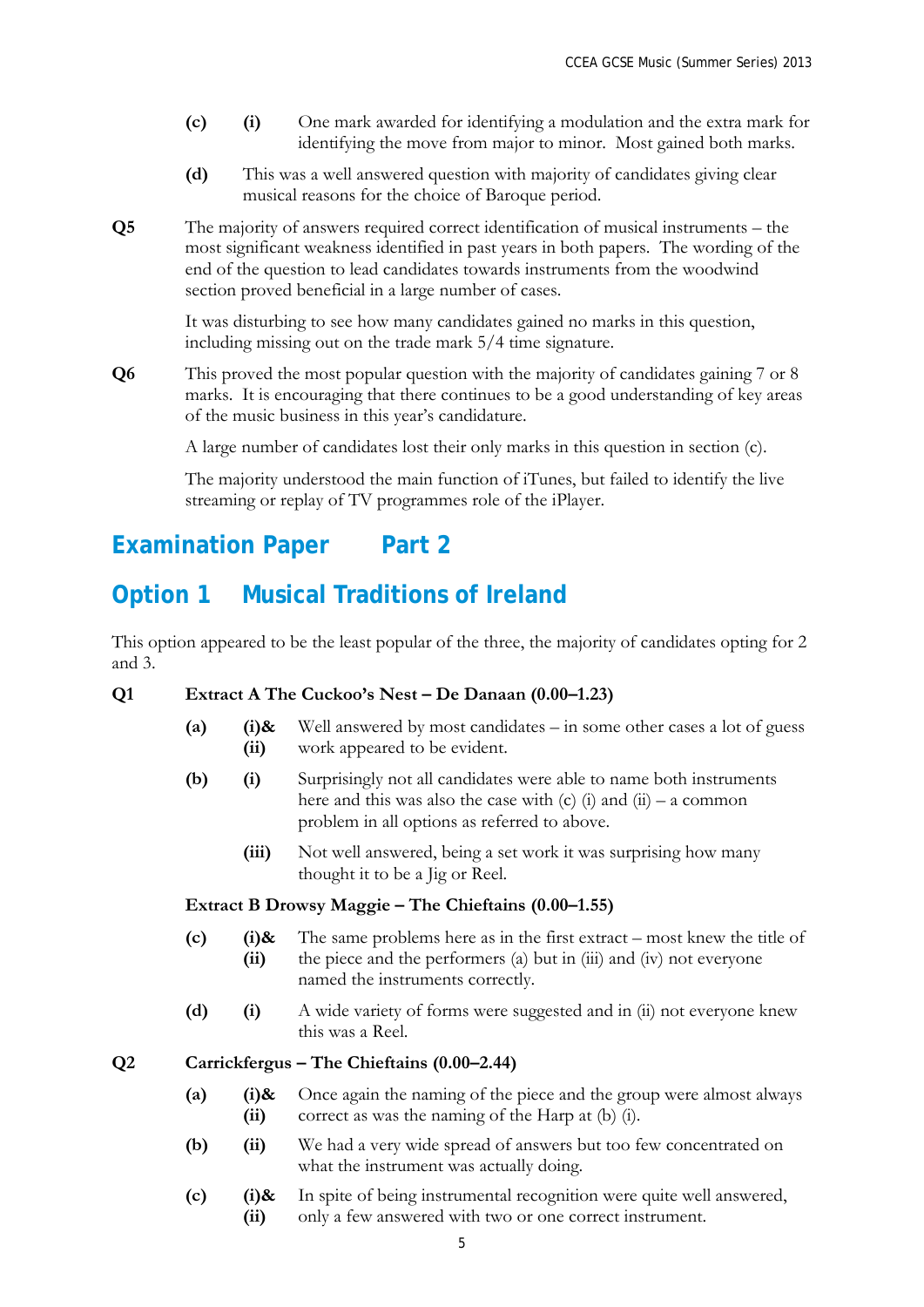- **(c) (i)** One mark awarded for identifying a modulation and the extra mark for identifying the move from major to minor. Most gained both marks.
- **(d)** This was a well answered question with majority of candidates giving clear musical reasons for the choice of Baroque period.
- **Q5** The majority of answers required correct identification of musical instruments the most significant weakness identified in past years in both papers. The wording of the end of the question to lead candidates towards instruments from the woodwind section proved beneficial in a large number of cases.

It was disturbing to see how many candidates gained no marks in this question, including missing out on the trade mark 5/4 time signature.

**Q6** This proved the most popular question with the majority of candidates gaining 7 or 8 marks. It is encouraging that there continues to be a good understanding of key areas of the music business in this year's candidature.

A large number of candidates lost their only marks in this question in section (c).

The majority understood the main function of iTunes, but failed to identify the live streaming or replay of TV programmes role of the iPlayer.

### **Examination Paper** Part 2

### **Option 1 Musical Traditions of Ireland**

This option appeared to be the least popular of the three, the majority of candidates opting for 2 and 3.

#### **Q1 Extract A The Cuckoo's Nest – De Danaan (0.00–1.23)**

- **(a) (i)& (ii)** Well answered by most candidates – in some other cases a lot of guess work appeared to be evident.
- **(b) (i)** Surprisingly not all candidates were able to name both instruments here and this was also the case with  $(c)$  (i) and (ii) – a common problem in all options as referred to above.
	- **(iii)** Not well answered, being a set work it was surprising how many thought it to be a Jig or Reel.

#### **Extract B Drowsy Maggie – The Chieftains (0.00–1.55)**

- **(c) (i)& (ii)** The same problems here as in the first extract – most knew the title of the piece and the performers (a) but in (iii) and (iv) not everyone named the instruments correctly.
- **(d) (i)** A wide variety of forms were suggested and in (ii) not everyone knew this was a Reel.

**Q2 Carrickfergus – The Chieftains (0.00–2.44)**

- **(a) (i)& (ii)** Once again the naming of the piece and the group were almost always correct as was the naming of the Harp at (b) (i).
- **(b) (ii)** We had a very wide spread of answers but too few concentrated on what the instrument was actually doing.
- **(c) (i)& (ii)** In spite of being instrumental recognition were quite well answered, only a few answered with two or one correct instrument.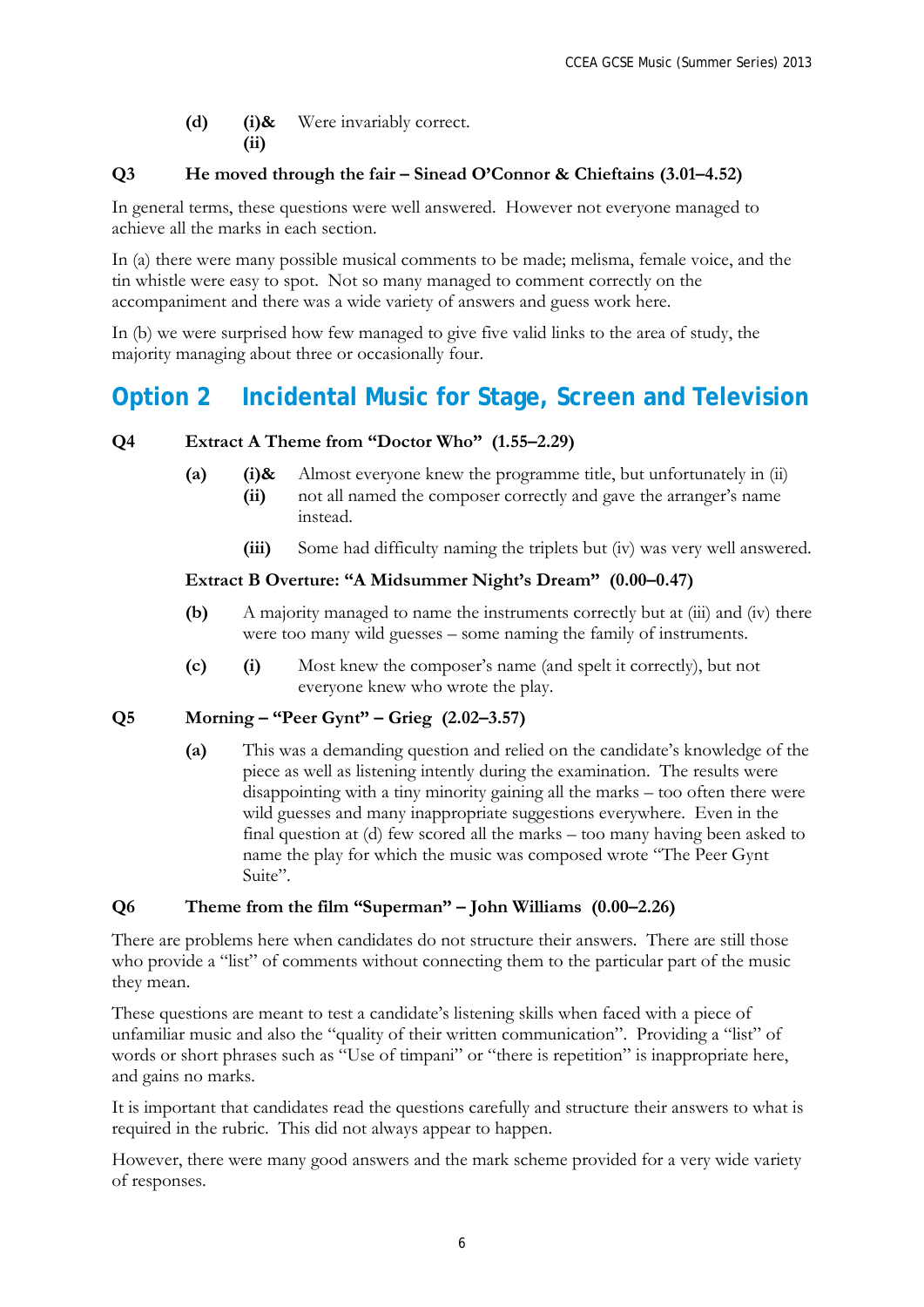**(d) (i)&** Were invariably correct. **(ii)**

#### **Q3 He moved through the fair – Sinead O'Connor & Chieftains (3.01–4.52)**

In general terms, these questions were well answered. However not everyone managed to achieve all the marks in each section.

In (a) there were many possible musical comments to be made; melisma, female voice, and the tin whistle were easy to spot. Not so many managed to comment correctly on the accompaniment and there was a wide variety of answers and guess work here.

In (b) we were surprised how few managed to give five valid links to the area of study, the majority managing about three or occasionally four.

### **Option 2 Incidental Music for Stage, Screen and Television**

#### **Q4 Extract A Theme from "Doctor Who" (1.55–2.29)**

- **(a) (i)&** Almost everyone knew the programme title, but unfortunately in (ii)
	- **(ii)** not all named the composer correctly and gave the arranger's name instead.
		- **(iii)** Some had difficulty naming the triplets but (iv) was very well answered.

#### **Extract B Overture: "A Midsummer Night's Dream" (0.00–0.47)**

- **(b)** A majority managed to name the instruments correctly but at (iii) and (iv) there were too many wild guesses – some naming the family of instruments.
- **(c) (i)** Most knew the composer's name (and spelt it correctly), but not everyone knew who wrote the play.

#### **Q5 Morning – "Peer Gynt" – Grieg (2.02–3.57)**

**(a)** This was a demanding question and relied on the candidate's knowledge of the piece as well as listening intently during the examination. The results were disappointing with a tiny minority gaining all the marks – too often there were wild guesses and many inappropriate suggestions everywhere. Even in the final question at (d) few scored all the marks – too many having been asked to name the play for which the music was composed wrote "The Peer Gynt Suite".

#### **Q6 Theme from the film "Superman" – John Williams (0.00–2.26)**

There are problems here when candidates do not structure their answers. There are still those who provide a "list" of comments without connecting them to the particular part of the music they mean.

These questions are meant to test a candidate's listening skills when faced with a piece of unfamiliar music and also the "quality of their written communication". Providing a "list" of words or short phrases such as "Use of timpani" or "there is repetition" is inappropriate here, and gains no marks.

It is important that candidates read the questions carefully and structure their answers to what is required in the rubric. This did not always appear to happen.

However, there were many good answers and the mark scheme provided for a very wide variety of responses.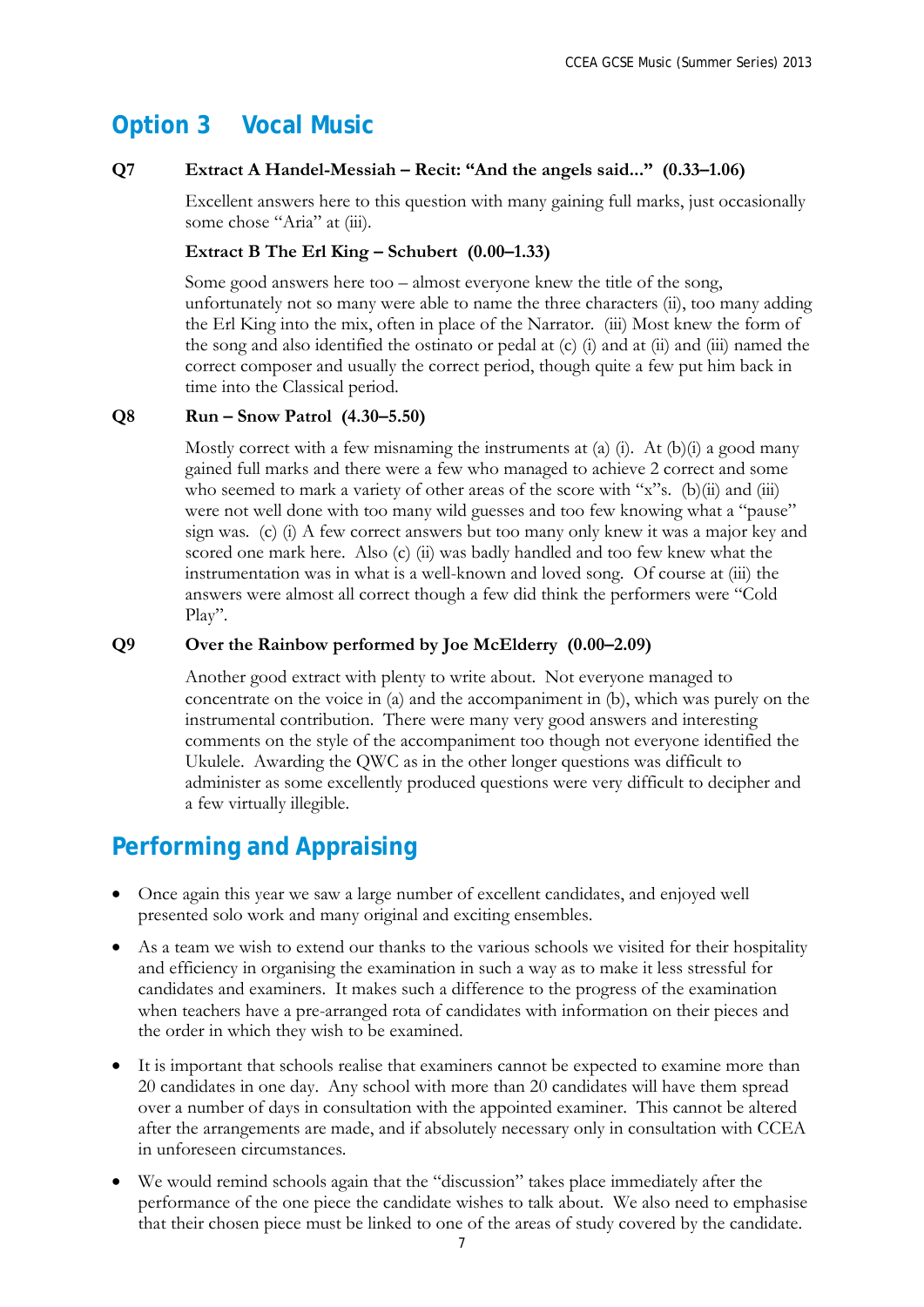### **Option 3 Vocal Music**

#### **Q7 Extract A Handel-Messiah – Recit: "And the angels said..." (0.33–1.06)**

Excellent answers here to this question with many gaining full marks, just occasionally some chose "Aria" at (iii).

#### **Extract B The Erl King – Schubert (0.00–1.33)**

Some good answers here too – almost everyone knew the title of the song, unfortunately not so many were able to name the three characters (ii), too many adding the Erl King into the mix, often in place of the Narrator. (iii) Most knew the form of the song and also identified the ostinato or pedal at (c) (i) and at (ii) and (iii) named the correct composer and usually the correct period, though quite a few put him back in time into the Classical period.

#### **Q8 Run – Snow Patrol (4.30–5.50)**

Mostly correct with a few misnaming the instruments at (a) (i). At (b)(i) a good many gained full marks and there were a few who managed to achieve 2 correct and some who seemed to mark a variety of other areas of the score with "x"s. (b)(ii) and (iii) were not well done with too many wild guesses and too few knowing what a "pause" sign was. (c) (i) A few correct answers but too many only knew it was a major key and scored one mark here. Also (c) (ii) was badly handled and too few knew what the instrumentation was in what is a well-known and loved song. Of course at (iii) the answers were almost all correct though a few did think the performers were "Cold Play".

#### **Q9 Over the Rainbow performed by Joe McElderry (0.00–2.09)**

Another good extract with plenty to write about. Not everyone managed to concentrate on the voice in (a) and the accompaniment in (b), which was purely on the instrumental contribution. There were many very good answers and interesting comments on the style of the accompaniment too though not everyone identified the Ukulele. Awarding the QWC as in the other longer questions was difficult to administer as some excellently produced questions were very difficult to decipher and a few virtually illegible.

### **Performing and Appraising**

- Once again this year we saw a large number of excellent candidates, and enjoyed well presented solo work and many original and exciting ensembles.
- As a team we wish to extend our thanks to the various schools we visited for their hospitality and efficiency in organising the examination in such a way as to make it less stressful for candidates and examiners. It makes such a difference to the progress of the examination when teachers have a pre-arranged rota of candidates with information on their pieces and the order in which they wish to be examined.
- It is important that schools realise that examiners cannot be expected to examine more than 20 candidates in one day. Any school with more than 20 candidates will have them spread over a number of days in consultation with the appointed examiner. This cannot be altered after the arrangements are made, and if absolutely necessary only in consultation with CCEA in unforeseen circumstances.
- We would remind schools again that the "discussion" takes place immediately after the performance of the one piece the candidate wishes to talk about. We also need to emphasise that their chosen piece must be linked to one of the areas of study covered by the candidate.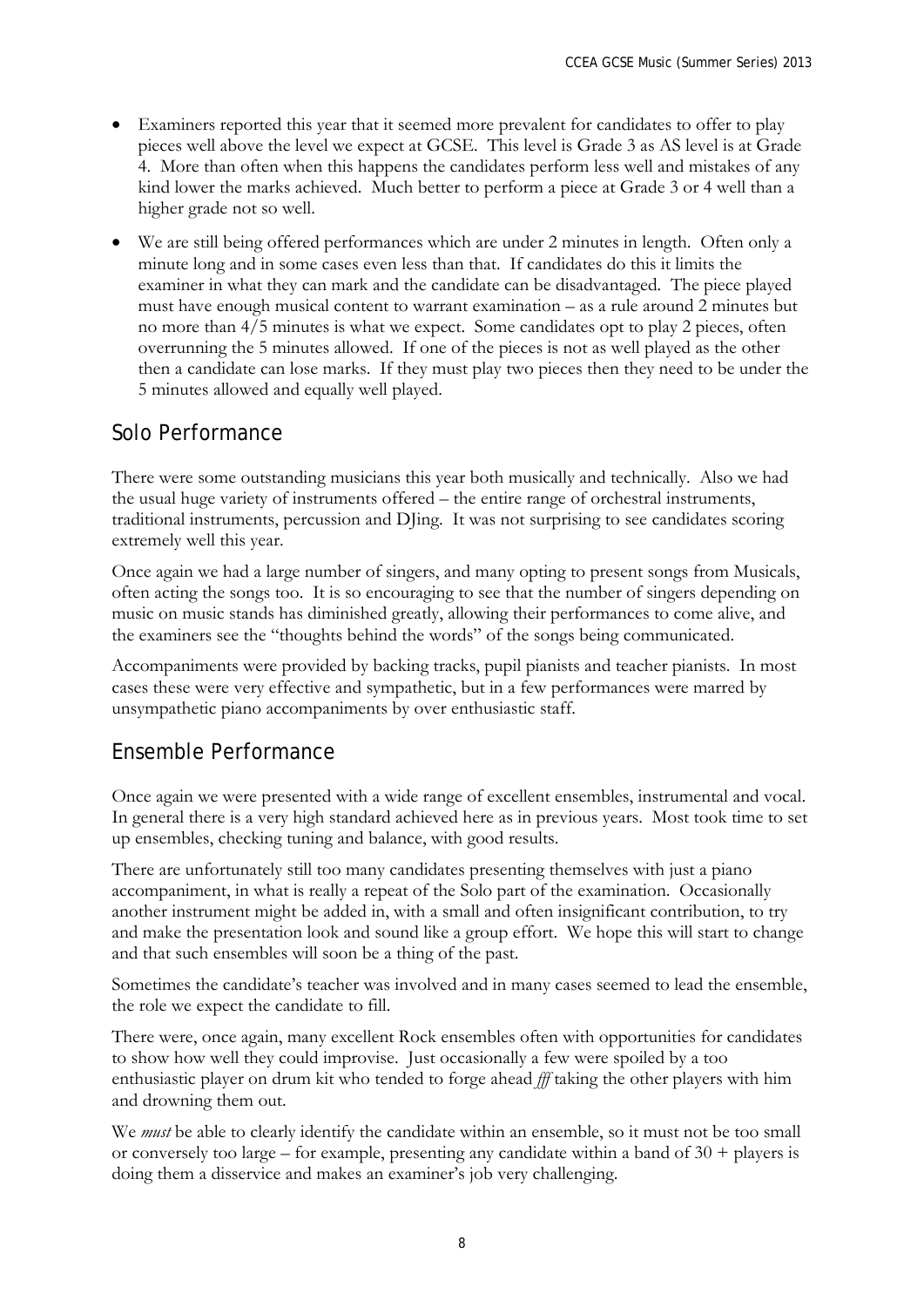- Examiners reported this year that it seemed more prevalent for candidates to offer to play pieces well above the level we expect at GCSE. This level is Grade 3 as AS level is at Grade 4. More than often when this happens the candidates perform less well and mistakes of any kind lower the marks achieved. Much better to perform a piece at Grade 3 or 4 well than a higher grade not so well.
- We are still being offered performances which are under 2 minutes in length. Often only a minute long and in some cases even less than that. If candidates do this it limits the examiner in what they can mark and the candidate can be disadvantaged. The piece played must have enough musical content to warrant examination – as a rule around 2 minutes but no more than 4/5 minutes is what we expect. Some candidates opt to play 2 pieces, often overrunning the 5 minutes allowed. If one of the pieces is not as well played as the other then a candidate can lose marks. If they must play two pieces then they need to be under the 5 minutes allowed and equally well played.

### Solo Performance

There were some outstanding musicians this year both musically and technically. Also we had the usual huge variety of instruments offered – the entire range of orchestral instruments, traditional instruments, percussion and DJing. It was not surprising to see candidates scoring extremely well this year.

Once again we had a large number of singers, and many opting to present songs from Musicals, often acting the songs too. It is so encouraging to see that the number of singers depending on music on music stands has diminished greatly, allowing their performances to come alive, and the examiners see the "thoughts behind the words" of the songs being communicated.

Accompaniments were provided by backing tracks, pupil pianists and teacher pianists. In most cases these were very effective and sympathetic, but in a few performances were marred by unsympathetic piano accompaniments by over enthusiastic staff.

### Ensemble Performance

Once again we were presented with a wide range of excellent ensembles, instrumental and vocal. In general there is a very high standard achieved here as in previous years. Most took time to set up ensembles, checking tuning and balance, with good results.

There are unfortunately still too many candidates presenting themselves with just a piano accompaniment, in what is really a repeat of the Solo part of the examination. Occasionally another instrument might be added in, with a small and often insignificant contribution, to try and make the presentation look and sound like a group effort. We hope this will start to change and that such ensembles will soon be a thing of the past.

Sometimes the candidate's teacher was involved and in many cases seemed to lead the ensemble, the role we expect the candidate to fill.

There were, once again, many excellent Rock ensembles often with opportunities for candidates to show how well they could improvise. Just occasionally a few were spoiled by a too enthusiastic player on drum kit who tended to forge ahead *fff* taking the other players with him and drowning them out.

We *must* be able to clearly identify the candidate within an ensemble, so it must not be too small or conversely too large – for example, presenting any candidate within a band of  $30 +$  players is doing them a disservice and makes an examiner's job very challenging.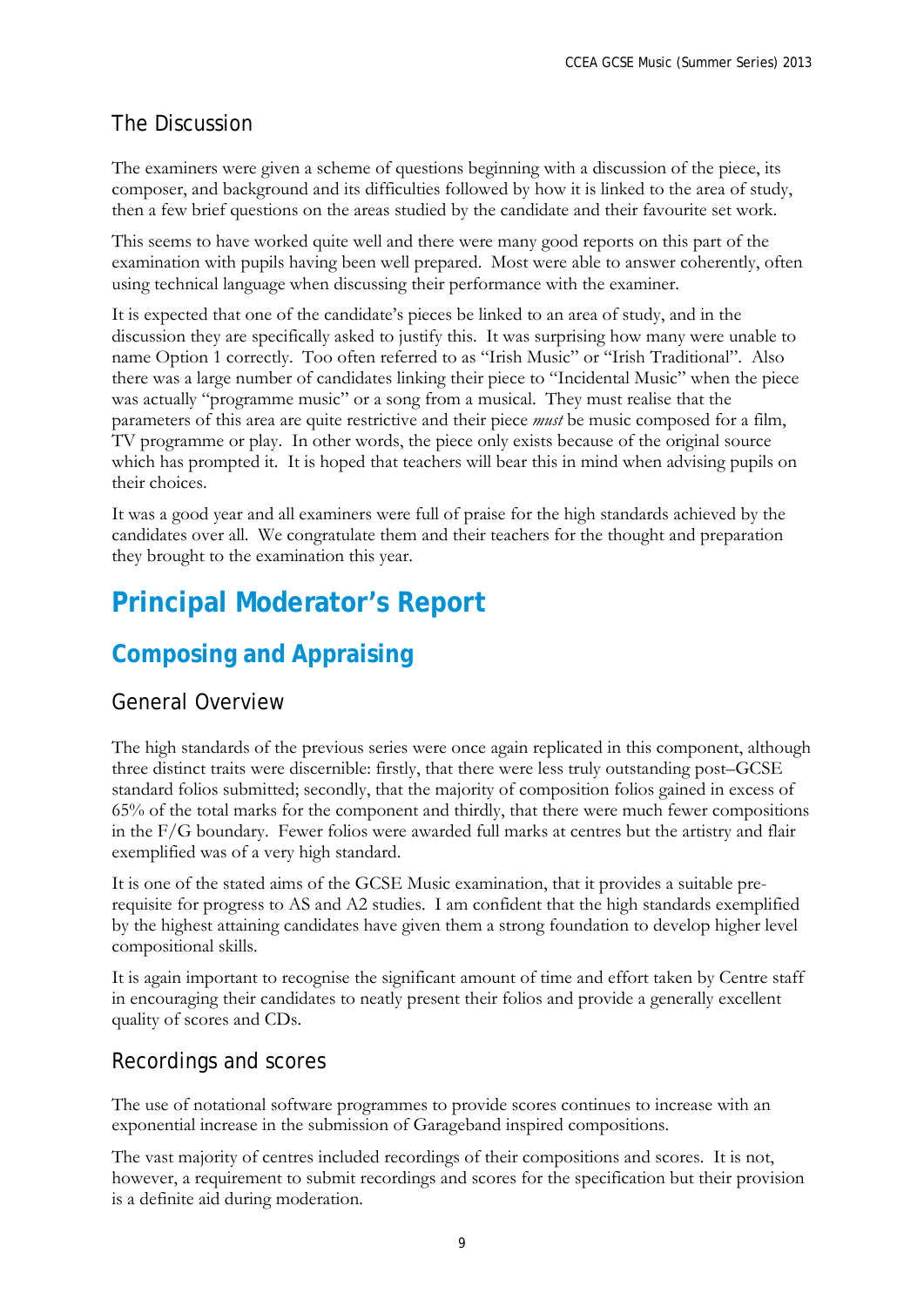### The Discussion

The examiners were given a scheme of questions beginning with a discussion of the piece, its composer, and background and its difficulties followed by how it is linked to the area of study, then a few brief questions on the areas studied by the candidate and their favourite set work.

This seems to have worked quite well and there were many good reports on this part of the examination with pupils having been well prepared. Most were able to answer coherently, often using technical language when discussing their performance with the examiner.

It is expected that one of the candidate's pieces be linked to an area of study, and in the discussion they are specifically asked to justify this. It was surprising how many were unable to name Option 1 correctly. Too often referred to as "Irish Music" or "Irish Traditional". Also there was a large number of candidates linking their piece to "Incidental Music" when the piece was actually "programme music" or a song from a musical. They must realise that the parameters of this area are quite restrictive and their piece *must* be music composed for a film, TV programme or play. In other words, the piece only exists because of the original source which has prompted it. It is hoped that teachers will bear this in mind when advising pupils on their choices.

It was a good year and all examiners were full of praise for the high standards achieved by the candidates over all. We congratulate them and their teachers for the thought and preparation they brought to the examination this year.

# **Principal Moderator's Report**

# **Composing and Appraising**

### General Overview

The high standards of the previous series were once again replicated in this component, although three distinct traits were discernible: firstly, that there were less truly outstanding post–GCSE standard folios submitted; secondly, that the majority of composition folios gained in excess of 65% of the total marks for the component and thirdly, that there were much fewer compositions in the F/G boundary. Fewer folios were awarded full marks at centres but the artistry and flair exemplified was of a very high standard.

It is one of the stated aims of the GCSE Music examination, that it provides a suitable prerequisite for progress to AS and A2 studies. I am confident that the high standards exemplified by the highest attaining candidates have given them a strong foundation to develop higher level compositional skills.

It is again important to recognise the significant amount of time and effort taken by Centre staff in encouraging their candidates to neatly present their folios and provide a generally excellent quality of scores and CDs.

### Recordings and scores

The use of notational software programmes to provide scores continues to increase with an exponential increase in the submission of Garageband inspired compositions.

The vast majority of centres included recordings of their compositions and scores. It is not, however, a requirement to submit recordings and scores for the specification but their provision is a definite aid during moderation.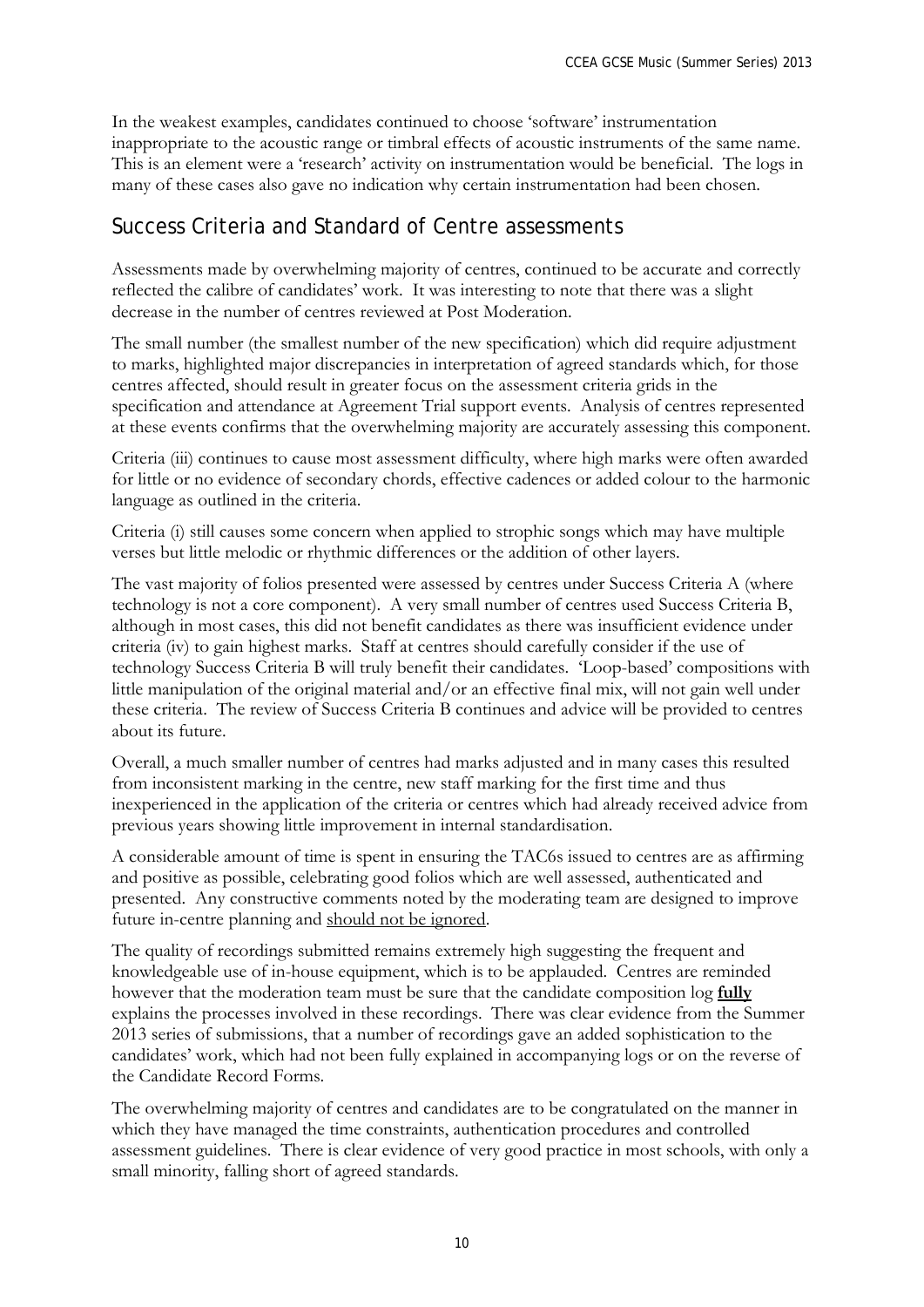In the weakest examples, candidates continued to choose 'software' instrumentation inappropriate to the acoustic range or timbral effects of acoustic instruments of the same name. This is an element were a 'research' activity on instrumentation would be beneficial. The logs in many of these cases also gave no indication why certain instrumentation had been chosen.

### Success Criteria and Standard of Centre assessments

Assessments made by overwhelming majority of centres, continued to be accurate and correctly reflected the calibre of candidates' work. It was interesting to note that there was a slight decrease in the number of centres reviewed at Post Moderation.

The small number (the smallest number of the new specification) which did require adjustment to marks, highlighted major discrepancies in interpretation of agreed standards which, for those centres affected, should result in greater focus on the assessment criteria grids in the specification and attendance at Agreement Trial support events. Analysis of centres represented at these events confirms that the overwhelming majority are accurately assessing this component.

Criteria (iii) continues to cause most assessment difficulty, where high marks were often awarded for little or no evidence of secondary chords, effective cadences or added colour to the harmonic language as outlined in the criteria.

Criteria (i) still causes some concern when applied to strophic songs which may have multiple verses but little melodic or rhythmic differences or the addition of other layers.

The vast majority of folios presented were assessed by centres under Success Criteria A (where technology is not a core component). A very small number of centres used Success Criteria B, although in most cases, this did not benefit candidates as there was insufficient evidence under criteria (iv) to gain highest marks. Staff at centres should carefully consider if the use of technology Success Criteria B will truly benefit their candidates. 'Loop-based' compositions with little manipulation of the original material and/or an effective final mix, will not gain well under these criteria. The review of Success Criteria B continues and advice will be provided to centres about its future.

Overall, a much smaller number of centres had marks adjusted and in many cases this resulted from inconsistent marking in the centre, new staff marking for the first time and thus inexperienced in the application of the criteria or centres which had already received advice from previous years showing little improvement in internal standardisation.

A considerable amount of time is spent in ensuring the TAC6s issued to centres are as affirming and positive as possible, celebrating good folios which are well assessed, authenticated and presented. Any constructive comments noted by the moderating team are designed to improve future in-centre planning and should not be ignored.

The quality of recordings submitted remains extremely high suggesting the frequent and knowledgeable use of in-house equipment, which is to be applauded. Centres are reminded however that the moderation team must be sure that the candidate composition log **fully** explains the processes involved in these recordings. There was clear evidence from the Summer 2013 series of submissions, that a number of recordings gave an added sophistication to the candidates' work, which had not been fully explained in accompanying logs or on the reverse of the Candidate Record Forms.

The overwhelming majority of centres and candidates are to be congratulated on the manner in which they have managed the time constraints, authentication procedures and controlled assessment guidelines. There is clear evidence of very good practice in most schools, with only a small minority, falling short of agreed standards.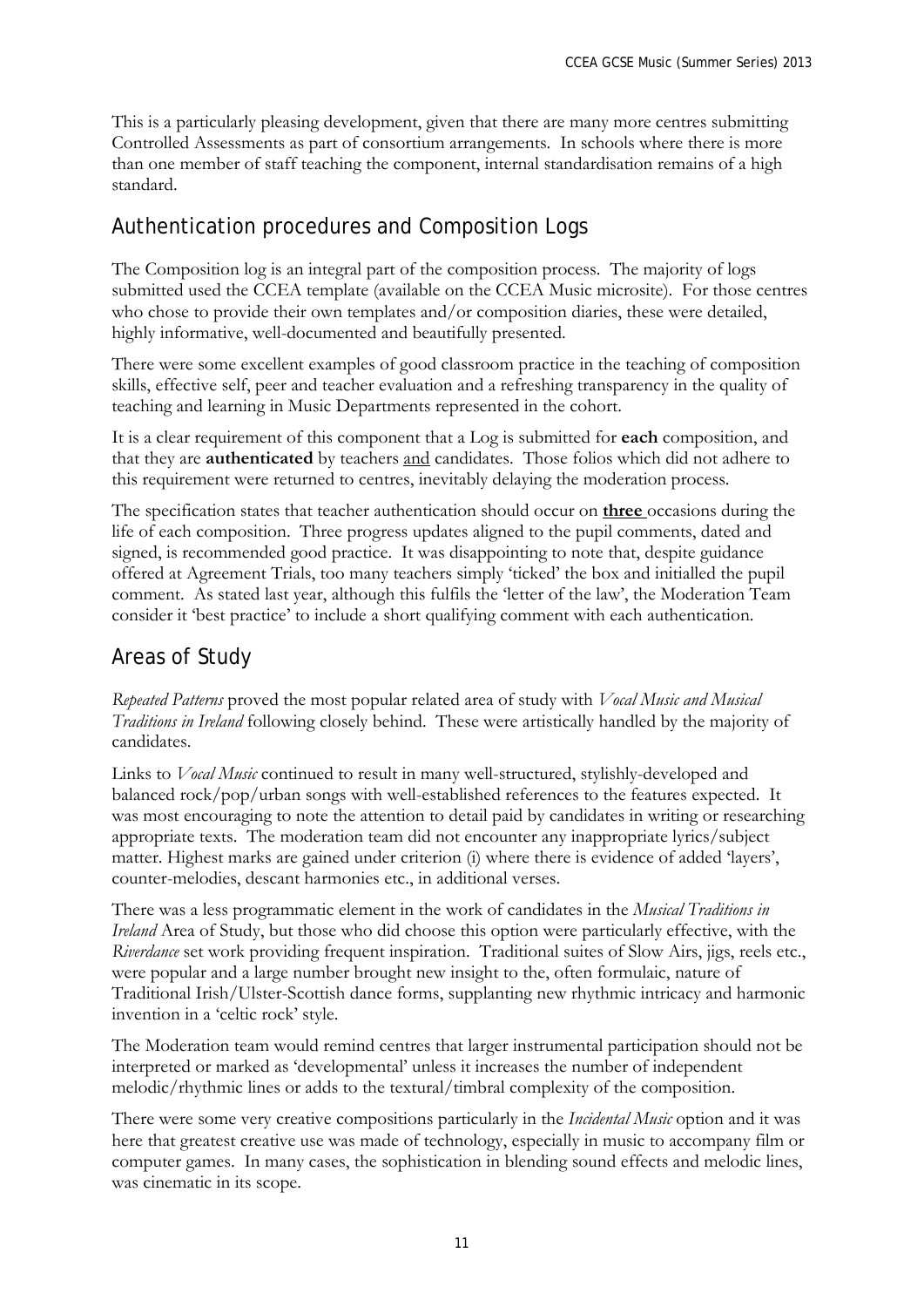This is a particularly pleasing development, given that there are many more centres submitting Controlled Assessments as part of consortium arrangements. In schools where there is more than one member of staff teaching the component, internal standardisation remains of a high standard.

### Authentication procedures and Composition Logs

The Composition log is an integral part of the composition process. The majority of logs submitted used the CCEA template (available on the CCEA Music microsite). For those centres who chose to provide their own templates and/or composition diaries, these were detailed, highly informative, well-documented and beautifully presented.

There were some excellent examples of good classroom practice in the teaching of composition skills, effective self, peer and teacher evaluation and a refreshing transparency in the quality of teaching and learning in Music Departments represented in the cohort.

It is a clear requirement of this component that a Log is submitted for **each** composition, and that they are **authenticated** by teachers and candidates. Those folios which did not adhere to this requirement were returned to centres, inevitably delaying the moderation process.

The specification states that teacher authentication should occur on **three** occasions during the life of each composition. Three progress updates aligned to the pupil comments, dated and signed, is recommended good practice. It was disappointing to note that, despite guidance offered at Agreement Trials, too many teachers simply 'ticked' the box and initialled the pupil comment. As stated last year, although this fulfils the 'letter of the law', the Moderation Team consider it 'best practice' to include a short qualifying comment with each authentication.

### Areas of Study

*Repeated Patterns* proved the most popular related area of study with *Vocal Music and Musical Traditions in Ireland* following closely behind. These were artistically handled by the majority of candidates.

Links to *Vocal Music* continued to result in many well-structured, stylishly-developed and balanced rock/pop/urban songs with well-established references to the features expected. It was most encouraging to note the attention to detail paid by candidates in writing or researching appropriate texts. The moderation team did not encounter any inappropriate lyrics/subject matter. Highest marks are gained under criterion (i) where there is evidence of added 'layers', counter-melodies, descant harmonies etc., in additional verses.

There was a less programmatic element in the work of candidates in the *Musical Traditions in Ireland* Area of Study, but those who did choose this option were particularly effective, with the *Riverdance* set work providing frequent inspiration. Traditional suites of Slow Airs, jigs, reels etc., were popular and a large number brought new insight to the, often formulaic, nature of Traditional Irish/Ulster-Scottish dance forms, supplanting new rhythmic intricacy and harmonic invention in a 'celtic rock' style.

The Moderation team would remind centres that larger instrumental participation should not be interpreted or marked as 'developmental' unless it increases the number of independent melodic/rhythmic lines or adds to the textural/timbral complexity of the composition.

There were some very creative compositions particularly in the *Incidental Music* option and it was here that greatest creative use was made of technology, especially in music to accompany film or computer games. In many cases, the sophistication in blending sound effects and melodic lines, was cinematic in its scope.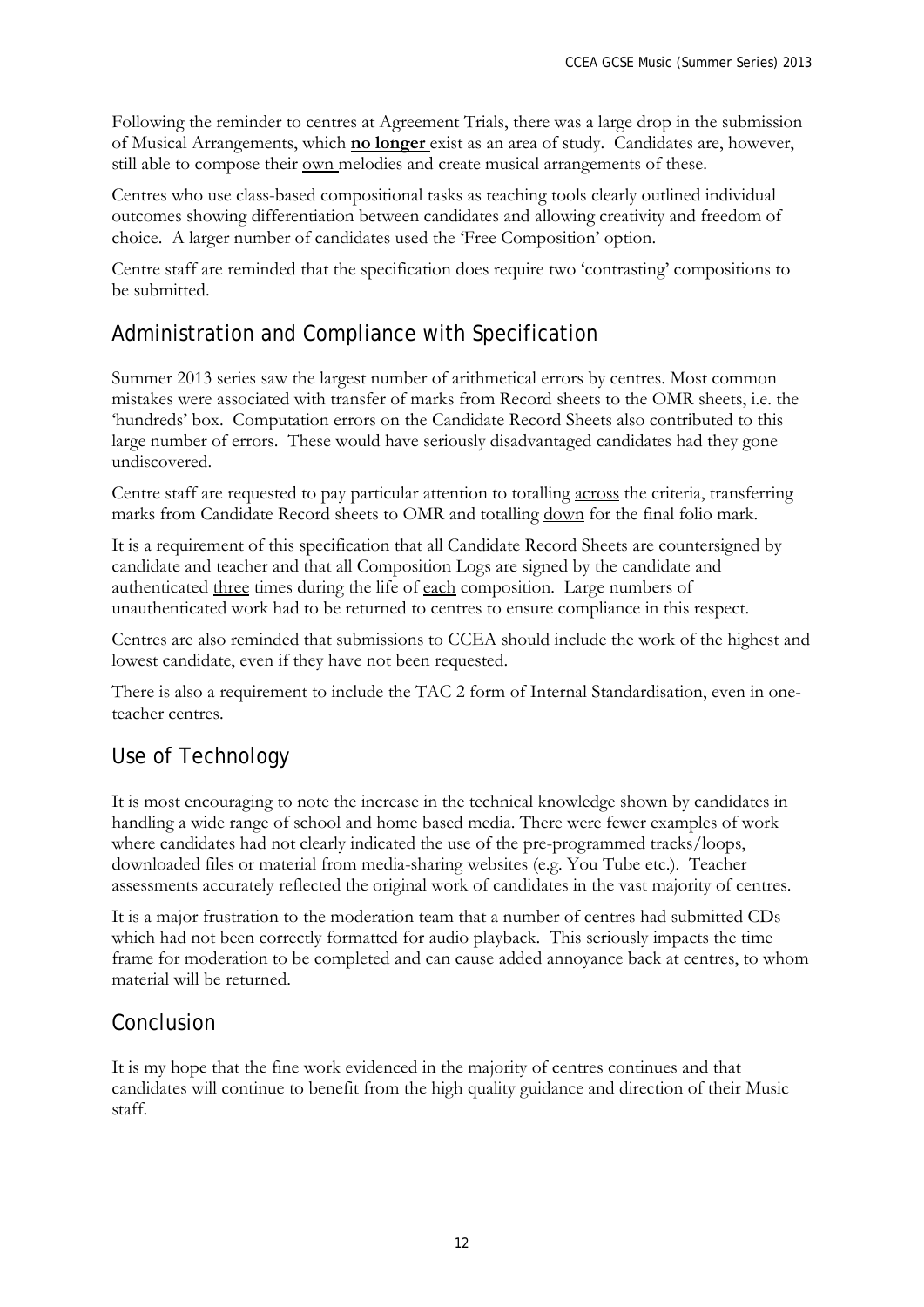Following the reminder to centres at Agreement Trials, there was a large drop in the submission of Musical Arrangements, which **no longer** exist as an area of study. Candidates are, however, still able to compose their <u>own</u> melodies and create musical arrangements of these.

Centres who use class-based compositional tasks as teaching tools clearly outlined individual outcomes showing differentiation between candidates and allowing creativity and freedom of choice. A larger number of candidates used the 'Free Composition' option.

Centre staff are reminded that the specification does require two 'contrasting' compositions to be submitted.

### Administration and Compliance with Specification

Summer 2013 series saw the largest number of arithmetical errors by centres. Most common mistakes were associated with transfer of marks from Record sheets to the OMR sheets, i.e. the 'hundreds' box. Computation errors on the Candidate Record Sheets also contributed to this large number of errors. These would have seriously disadvantaged candidates had they gone undiscovered.

Centre staff are requested to pay particular attention to totalling across the criteria, transferring marks from Candidate Record sheets to OMR and totalling down for the final folio mark.

It is a requirement of this specification that all Candidate Record Sheets are countersigned by candidate and teacher and that all Composition Logs are signed by the candidate and authenticated three times during the life of each composition. Large numbers of unauthenticated work had to be returned to centres to ensure compliance in this respect.

Centres are also reminded that submissions to CCEA should include the work of the highest and lowest candidate, even if they have not been requested.

There is also a requirement to include the TAC 2 form of Internal Standardisation, even in oneteacher centres.

### Use of Technology

It is most encouraging to note the increase in the technical knowledge shown by candidates in handling a wide range of school and home based media. There were fewer examples of work where candidates had not clearly indicated the use of the pre-programmed tracks/loops, downloaded files or material from media-sharing websites (e.g. You Tube etc.). Teacher assessments accurately reflected the original work of candidates in the vast majority of centres.

It is a major frustration to the moderation team that a number of centres had submitted CDs which had not been correctly formatted for audio playback. This seriously impacts the time frame for moderation to be completed and can cause added annoyance back at centres, to whom material will be returned.

### Conclusion

It is my hope that the fine work evidenced in the majority of centres continues and that candidates will continue to benefit from the high quality guidance and direction of their Music staff.